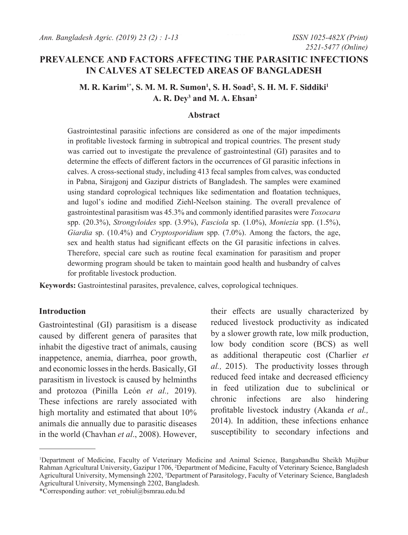# **PREVALENCE AND FACTORS AFFECTING THE PARASITIC INFECTIONS IN CALVES AT SELECTED AREAS OF BANGLADESH**

**M. R. Karim1\*, S. M. M. R. Sumon1 , S. H. Soad2 , S. H. M. F. Siddiki1 A. R. Dey3 and M. A. Ehsan2**

#### **Abstract**

Gastrointestinal parasitic infections are considered as one of the major impediments in profitable livestock farming in subtropical and tropical countries. The present study was carried out to investigate the prevalence of gastrointestinal (GI) parasites and to determine the effects of different factors in the occurrences of GI parasitic infections in calves. A cross-sectional study, including 413 fecal samples from calves, was conducted in Pabna, Sirajgonj and Gazipur districts of Bangladesh. The samples were examined using standard coprological techniques like sedimentation and floatation techniques, and lugol's iodine and modified Ziehl-Neelson staining. The overall prevalence of gastrointestinal parasitism was 45.3% and commonly identified parasites were *Toxocara*  spp. (20.3%), *Strongyloides* spp. (3.9%), *Fasciola* sp. (1.0%), *Moniezia* spp. (1.5%), *Giardia* sp. (10.4%) and *Cryptosporidium* spp. (7.0%). Among the factors, the age, sex and health status had significant effects on the GI parasitic infections in calves. Therefore, special care such as routine fecal examination for parasitism and proper deworming program should be taken to maintain good health and husbandry of calves for profitable livestock production.

**Keywords:** Gastrointestinal parasites, prevalence, calves, coprological techniques.

### **Introduction**

Gastrointestinal (GI) parasitism is a disease caused by different genera of parasites that inhabit the digestive tract of animals, causing inappetence, anemia, diarrhea, poor growth, and economic losses in the herds. Basically, GI parasitism in livestock is caused by helminths and protozoa (Pinilla León *et al.,* 2019). These infections are rarely associated with high mortality and estimated that about 10% animals die annually due to parasitic diseases in the world (Chavhan *et al*., 2008). However,

their effects are usually characterized by reduced livestock productivity as indicated by a slower growth rate, low milk production, low body condition score (BCS) as well as additional therapeutic cost (Charlier *et al.,* 2015). The productivity losses through reduced feed intake and decreased efficiency in feed utilization due to subclinical or chronic infections are also hindering profitable livestock industry (Akanda *et al.,* 2014). In addition, these infections enhance susceptibility to secondary infections and

<sup>1</sup> Department of Medicine, Faculty of Veterinary Medicine and Animal Science, Bangabandhu Sheikh Mujibur Rahman Agricultural University, Gazipur 1706, 2 Department of Medicine, Faculty of Veterinary Science, Bangladesh Agricultural University, Mymensingh 2202, 3 Department of Parasitology, Faculty of Veterinary Science, Bangladesh Agricultural University, Mymensingh 2202, Bangladesh.

<sup>\*</sup>Corresponding author: vet\_robiul@bsmrau.edu.bd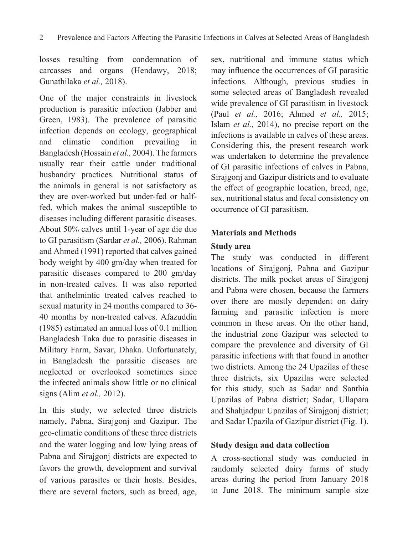losses resulting from condemnation of carcasses and organs (Hendawy, 2018; Gunathilaka *et al.,* 2018).

One of the major constraints in livestock production is parasitic infection (Jabber and Green, 1983). The prevalence of parasitic infection depends on ecology, geographical and climatic condition prevailing in Bangladesh (Hossain *et al.,* 2004). The farmers usually rear their cattle under traditional husbandry practices. Nutritional status of the animals in general is not satisfactory as they are over-worked but under-fed or halffed, which makes the animal susceptible to diseases including different parasitic diseases. About 50% calves until 1-year of age die due to GI parasitism (Sardar *et al.,* 2006). Rahman and Ahmed (1991) reported that calves gained body weight by 400 gm/day when treated for parasitic diseases compared to 200 gm/day in non-treated calves. It was also reported that anthelmintic treated calves reached to sexual maturity in 24 months compared to 36- 40 months by non-treated calves. Afazuddin (1985) estimated an annual loss of 0.1 million Bangladesh Taka due to parasitic diseases in Military Farm, Savar, Dhaka. Unfortunately, in Bangladesh the parasitic diseases are neglected or overlooked sometimes since the infected animals show little or no clinical signs (Alim *et al.,* 2012).

In this study, we selected three districts namely, Pabna, Sirajgonj and Gazipur. The geo-climatic conditions of these three districts and the water logging and low lying areas of Pabna and Sirajgonj districts are expected to favors the growth, development and survival of various parasites or their hosts. Besides, there are several factors, such as breed, age,

sex, nutritional and immune status which may influence the occurrences of GI parasitic infections. Although, previous studies in some selected areas of Bangladesh revealed wide prevalence of GI parasitism in livestock (Paul *et al.,* 2016; Ahmed *et al.,* 2015; Islam *et al.,* 2014), no precise report on the infections is available in calves of these areas. Considering this, the present research work was undertaken to determine the prevalence of GI parasitic infections of calves in Pabna, Sirajgonj and Gazipur districts and to evaluate the effect of geographic location, breed, age, sex, nutritional status and fecal consistency on occurrence of GI parasitism.

## **Materials and Methods**

## **Study area**

The study was conducted in different locations of Sirajgonj, Pabna and Gazipur districts. The milk pocket areas of Sirajgonj and Pabna were chosen, because the farmers over there are mostly dependent on dairy farming and parasitic infection is more common in these areas. On the other hand, the industrial zone Gazipur was selected to compare the prevalence and diversity of GI parasitic infections with that found in another two districts. Among the 24 Upazilas of these three districts, six Upazilas were selected for this study, such as Sadar and Santhia Upazilas of Pabna district; Sadar, Ullapara and Shahjadpur Upazilas of Sirajgonj district; and Sadar Upazila of Gazipur district (Fig. 1).

### **Study design and data collection**

A cross-sectional study was conducted in randomly selected dairy farms of study areas during the period from January 2018 to June 2018. The minimum sample size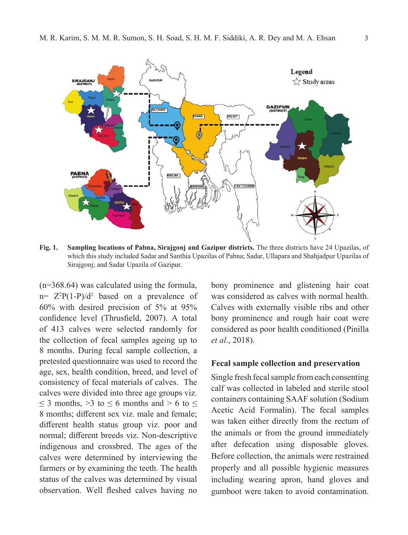

**Fig. 1. Sampling locations of Pabna, Sirajgonj and Gazipur districts.** The three districts have 24 Upazilas, of which this study included Sadar and Santhia Upazilas of Pabna; Sadar, Ullapara and Shahjadpur Upazilas of Sirajgonj; and Sadar Upazila of Gazipur.

(n=368.64) was calculated using the formula,  $n = Z<sup>2</sup>P(1-P)/d<sup>2</sup>$  based on a prevalence of 60% with desired precision of 5% at 95% confidence level (Thrusfield, 2007). A total of 413 calves were selected randomly for the collection of fecal samples ageing up to 8 months. During fecal sample collection, a pretested questionnaire was used to record the age, sex, health condition, breed, and level of consistency of fecal materials of calves. The calves were divided into three age groups viz.  $\leq$  3 months,  $>$ 3 to  $\leq$  6 months and  $>$  6 to  $\leq$ 8 months; different sex viz. male and female; different health status group viz. poor and normal; different breeds viz. Non-descriptive indigenous and crossbred. The ages of the calves were determined by interviewing the farmers or by examining the teeth. The health status of the calves was determined by visual observation. Well fleshed calves having no

bony prominence and glistening hair coat was considered as calves with normal health. Calves with externally visible ribs and other bony prominence and rough hair coat were considered as poor health conditioned (Pinilla *et al*., 2018).

#### **Fecal sample collection and preservation**

Single fresh fecal sample from each consenting calf was collected in labeled and sterile stool containers containing SAAF solution (Sodium Acetic Acid Formalin). The fecal samples was taken either directly from the rectum of the animals or from the ground immediately after defecation using disposable gloves. Before collection, the animals were restrained properly and all possible hygienic measures including wearing apron, hand gloves and gumboot were taken to avoid contamination.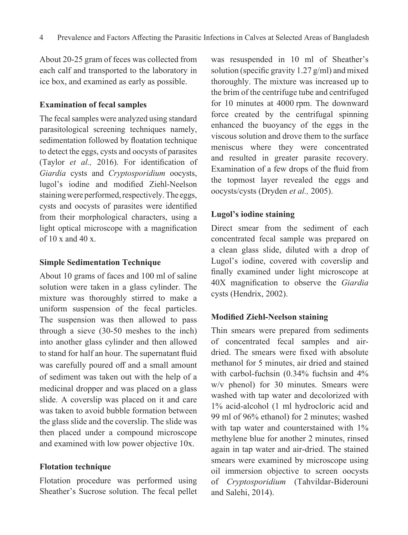About 20-25 gram of feces was collected from each calf and transported to the laboratory in ice box, and examined as early as possible.

### **Examination of fecal samples**

The fecal samples were analyzed using standard parasitological screening techniques namely, sedimentation followed by floatation technique to detect the eggs, cysts and oocysts of parasites (Taylor *et al.,* 2016). For identification of *Giardia* cysts and *Cryptosporidium* oocysts, lugol's iodine and modified Ziehl-Neelson staining were performed, respectively. The eggs, cysts and oocysts of parasites were identified from their morphological characters, using a light optical microscope with a magnification of  $10 \times$  and  $40 \times$ .

#### **Simple Sedimentation Technique**

About 10 grams of faces and 100 ml of saline solution were taken in a glass cylinder. The mixture was thoroughly stirred to make a uniform suspension of the fecal particles. The suspension was then allowed to pass through a sieve (30-50 meshes to the inch) into another glass cylinder and then allowed to stand for half an hour. The supernatant fluid was carefully poured off and a small amount of sediment was taken out with the help of a medicinal dropper and was placed on a glass slide. A coverslip was placed on it and care was taken to avoid bubble formation between the glass slide and the coverslip. The slide was then placed under a compound microscope and examined with low power objective 10x.

### **Flotation technique**

Flotation procedure was performed using Sheather's Sucrose solution. The fecal pellet

was resuspended in 10 ml of Sheather's solution (specific gravity 1.27 g/ml) and mixed thoroughly. The mixture was increased up to the brim of the centrifuge tube and centrifuged for 10 minutes at 4000 rpm. The downward force created by the centrifugal spinning enhanced the buoyancy of the eggs in the viscous solution and drove them to the surface meniscus where they were concentrated and resulted in greater parasite recovery. Examination of a few drops of the fluid from the topmost layer revealed the eggs and oocysts/cysts (Dryden *et al.,* 2005).

# **Lugol's iodine staining**

Direct smear from the sediment of each concentrated fecal sample was prepared on a clean glass slide, diluted with a drop of Lugol's iodine, covered with coverslip and finally examined under light microscope at 40X magnification to observe the *Giardia*  cysts (Hendrix, 2002).

# **Modified Ziehl-Neelson staining**

Thin smears were prepared from sediments of concentrated fecal samples and airdried. The smears were fixed with absolute methanol for 5 minutes, air dried and stained with carbol-fuchsin (0.34% fuchsin and 4% w/v phenol) for 30 minutes. Smears were washed with tap water and decolorized with 1% acid-alcohol (1 ml hydrocloric acid and 99 ml of 96% ethanol) for 2 minutes; washed with tap water and counterstained with  $1\%$ methylene blue for another 2 minutes, rinsed again in tap water and air-dried. The stained smears were examined by microscope using oil immersion objective to screen oocysts of *Cryptosporidium* (Tahvildar-Biderouni and Salehi, 2014).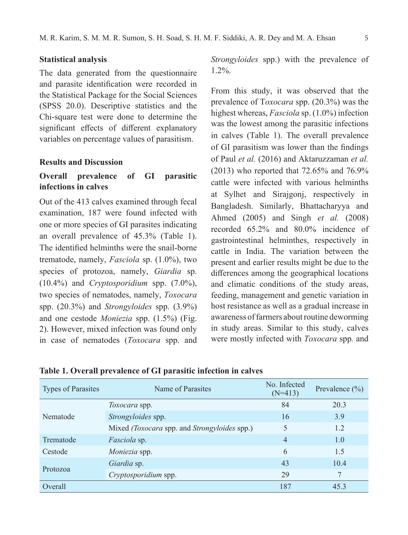#### **Statistical analysis**

The data generated from the questionnaire and parasite identification were recorded in the Statistical Package for the Social Sciences (SPSS 20.0). Descriptive statistics and the Chi-square test were done to determine the significant effects of different explanatory variables on percentage values of parasitism.

### **Results and Discussion**

## **Overall prevalence of GI parasitic infections in calves**

Out of the 413 calves examined through fecal examination, 187 were found infected with one or more species of GI parasites indicating an overall prevalence of 45.3% (Table 1). The identified helminths were the snail-borne trematode, namely, *Fasciola* sp. (1.0%), two species of protozoa, namely, *Giardia* sp. (10.4%) and *Cryptosporidium* spp. (7.0%), two species of nematodes, namely, *Toxocara*  spp. (20.3%) and *Strongyloides* spp. (3.9%) and one cestode *Moniezia* spp. (1.5%) (Fig. 2). However, mixed infection was found only in case of nematodes (*Toxocara* spp. and

*Strongyloides* spp.) with the prevalence of 1.2%.

From this study, it was observed that the prevalence of T*oxocara* spp. (20.3%) was the highest whereas, *Fasciola* sp. (1.0%) infection was the lowest among the parasitic infections in calves (Table 1). The overall prevalence of GI parasitism was lower than the findings of Paul *et al.* (2016) and Aktaruzzaman *et al.*  (2013) who reported that 72.65% and 76.9% cattle were infected with various helminths at Sylhet and Sirajgonj, respectively in Bangladesh. Similarly, Bhattacharyya and Ahmed (2005) and Singh *et al.* (2008) recorded 65.2% and 80.0% incidence of gastrointestinal helminthes, respectively in cattle in India. The variation between the present and earlier results might be due to the differences among the geographical locations and climatic conditions of the study areas, feeding, management and genetic variation in host resistance as well as a gradual increase in awareness of farmers about routine deworming in study areas. Similar to this study, calves were mostly infected with *Toxocara* spp*.* and

| <b>Types of Parasites</b> | Name of Parasites                            | No. Infected<br>$(N=413)$ | Prevalence $(\% )$ |
|---------------------------|----------------------------------------------|---------------------------|--------------------|
|                           | <i>Toxocara</i> spp.                         | 84                        | 20.3               |
| Nematode                  | Strongyloides spp.                           | 16                        | 3.9                |
|                           | Mixed (Toxocara spp. and Strongyloides spp.) | 5                         | 1.2                |
| Trematode                 | <i>Fasciola</i> sp.                          | $\overline{4}$            | 1.0                |
| Cestode                   | Moniezia spp.                                | 6                         | 1.5                |
| Protozoa                  | Giardia sp.                                  | 43                        | 10.4               |
|                           | Cryptosporidium spp.                         | 29                        | 7                  |
| Overall                   |                                              | 187                       | 45.3               |

**Table 1. Overall prevalence of GI parasitic infection in calves**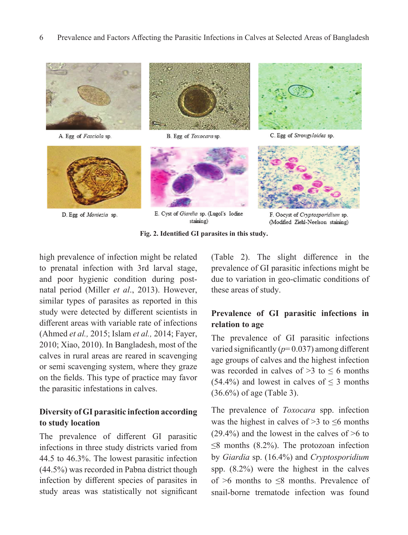6 Prevalence and Factors Affecting the Parasitic Infections in Calves at Selected Areas of Bangladesh



A. Egg of Fasciola sp.



D. Egg of Moniezia sp.



B. Egg of Toxocara sp.



E. Cyst of Giardia sp. (Lugol's Iodine staining)



C. Egg of Strongyloides sp.



F. Oocyst of Cryptosporidium sp. (Modified Ziehl-Neelson staining)

**Fig. 2. Identified GI parasites in this study.**

high prevalence of infection might be related to prenatal infection with 3rd larval stage, and poor hygienic condition during postnatal period (Miller *et al*., 2013). However, similar types of parasites as reported in this study were detected by different scientists in different areas with variable rate of infections (Ahmed *et al.,* 2015; Islam *et al.,* 2014; Fayer, 2010; Xiao, 2010). In Bangladesh, most of the calves in rural areas are reared in scavenging or semi scavenging system, where they graze on the fields. This type of practice may favor the parasitic infestations in calves.

# **Diversity of GI parasitic infection according to study location**

The prevalence of different GI parasitic infections in three study districts varied from 44.5 to 46.3%. The lowest parasitic infection (44.5%) was recorded in Pabna district though infection by different species of parasites in study areas was statistically not significant

(Table 2). The slight difference in the prevalence of GI parasitic infections might be due to variation in geo-climatic conditions of these areas of study.

# **Prevalence of GI parasitic infections in relation to age**

The prevalence of GI parasitic infections varied significantly  $(p=0.037)$  among different age groups of calves and the highest infection was recorded in calves of  $>3$  to  $\leq 6$  months (54.4%) and lowest in calves of  $\leq$  3 months (36.6%) of age (Table 3).

The prevalence of *Toxocara* spp. infection was the highest in calves of  $>$ 3 to  $\leq$ 6 months  $(29.4\%)$  and the lowest in the calves of  $\geq 6$  to  $\leq$ 8 months (8.2%). The protozoan infection by *Giardia* sp. (16.4%) and *Cryptosporidium*  spp. (8.2%) were the highest in the calves of >6 months to ≤8 months. Prevalence of snail-borne trematode infection was found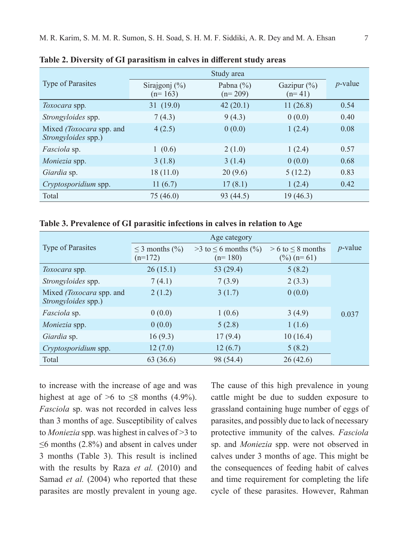|                                                 | Study area                    |                            |                            |            |
|-------------------------------------------------|-------------------------------|----------------------------|----------------------------|------------|
| <b>Type of Parasites</b>                        | Sirajgonj $(\%)$<br>$(n=163)$ | Pabna $(\% )$<br>$(n=209)$ | Gazipur $(\%)$<br>$(n=41)$ | $p$ -value |
| Toxocara spp.                                   | 31(19.0)                      | 42(20.1)                   | 11(26.8)                   | 0.54       |
| Strongyloides spp.                              | 7(4.3)                        | 9(4.3)                     | 0(0.0)                     | 0.40       |
| Mixed (Toxocara spp. and<br>Strongyloides spp.) | 4(2.5)                        | 0(0.0)                     | 1(2.4)                     | 0.08       |
| <i>Fasciola</i> sp.                             | 1(0.6)                        | 2(1.0)                     | 1(2.4)                     | 0.57       |
| <i>Moniezia</i> spp.                            | 3(1.8)                        | 3(1.4)                     | 0(0.0)                     | 0.68       |
| Giardia sp.                                     | 18(11.0)                      | 20(9.6)                    | 5(12.2)                    | 0.83       |
| Cryptosporidium spp.                            | 11 $(6.7)$                    | 17(8.1)                    | 1(2.4)                     | 0.42       |
| Total                                           | 75 (46.0)                     | 93 (44.5)                  | 19(46.3)                   |            |

**Table 2. Diversity of GI parasitism in calves in different study areas** 

**Table 3. Prevalence of GI parasitic infections in calves in relation to Age**

|                                                 | Age category                     |                                          |                                            |            |
|-------------------------------------------------|----------------------------------|------------------------------------------|--------------------------------------------|------------|
| <b>Type of Parasites</b>                        | $\leq$ 3 months (%)<br>$(n=172)$ | $>3$ to $\leq 6$ months (%)<br>$(n=180)$ | $> 6$ to $\leq 8$ months<br>$(\%)$ (n= 61) | $p$ -value |
| <i>Toxocara</i> spp.                            | 26(15.1)                         | 53 (29.4)                                | 5(8.2)                                     |            |
| Strongyloides spp.                              | 7(4.1)                           | 7(3.9)                                   | 2(3.3)                                     |            |
| Mixed (Toxocara spp. and<br>Strongyloides spp.) | 2(1.2)                           | 3(1.7)                                   | 0(0.0)                                     |            |
| <i>Fasciola</i> sp.                             | 0(0.0)                           | 1(0.6)                                   | 3(4.9)                                     | 0.037      |
| <i>Moniezia</i> spp.                            | 0(0.0)                           | 5(2.8)                                   | 1(1.6)                                     |            |
| Giardia sp.                                     | 16(9.3)                          | 17(9.4)                                  | 10(16.4)                                   |            |
| Cryptosporidium spp.                            | 12(7.0)                          | 12(6.7)                                  | 5(8.2)                                     |            |
| Total                                           | 63 (36.6)                        | 98 (54.4)                                | 26(42.6)                                   |            |

to increase with the increase of age and was highest at age of  $>6$  to  $\leq 8$  months (4.9%). *Fasciola* sp. was not recorded in calves less than 3 months of age. Susceptibility of calves to *Moniezia* spp. was highest in calves of >3 to  $\leq$ 6 months (2.8%) and absent in calves under 3 months (Table 3). This result is inclined with the results by Raza *et al.* (2010) and Samad *et al.* (2004) who reported that these parasites are mostly prevalent in young age.

The cause of this high prevalence in young cattle might be due to sudden exposure to grassland containing huge number of eggs of parasites, and possibly due to lack of necessary protective immunity of the calves. *Fasciola*  sp. and *Moniezia* spp. were not observed in calves under 3 months of age. This might be the consequences of feeding habit of calves and time requirement for completing the life cycle of these parasites. However, Rahman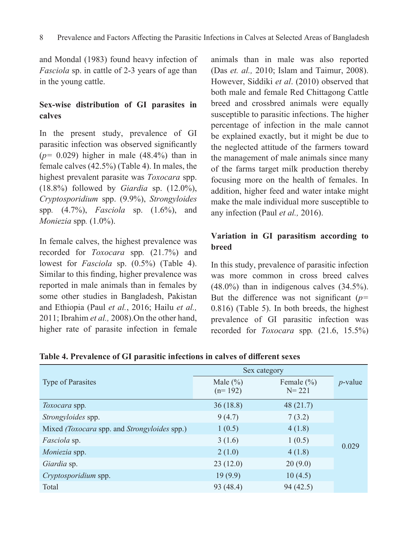and Mondal (1983) found heavy infection of *Fasciola* sp. in cattle of 2-3 years of age than in the young cattle.

# **Sex-wise distribution of GI parasites in calves**

In the present study, prevalence of GI parasitic infection was observed significantly (*p=* 0.029) higher in male (48.4%) than in female calves (42.5%) (Table 4). In males, the highest prevalent parasite was *Toxocara* spp. (18.8%) followed by *Giardia* sp. (12.0%), *Cryptosporidium* spp. (9.9%), *Strongyloides*  spp*.* (4.7%), *Fasciola* sp. (1.6%), and *Moniezia* spp*.* (1.0%).

In female calves, the highest prevalence was recorded for *Toxocara* spp*.* (21.7%) and lowest for *Fasciola* sp. (0.5%) (Table 4). Similar to this finding, higher prevalence was reported in male animals than in females by some other studies in Bangladesh, Pakistan and Ethiopia (Paul *et al.*, 2016; Hailu *et al.,*  2011; Ibrahim *et al.,* 2008).On the other hand, higher rate of parasite infection in female

animals than in male was also reported (Das *et. al.,* 2010; Islam and Taimur, 2008). However, Siddiki *et al*. (2010) observed that both male and female Red Chittagong Cattle breed and crossbred animals were equally susceptible to parasitic infections. The higher percentage of infection in the male cannot be explained exactly, but it might be due to the neglected attitude of the farmers toward the management of male animals since many of the farms target milk production thereby focusing more on the health of females. In addition, higher feed and water intake might make the male individual more susceptible to any infection (Paul *et al.,* 2016).

# **Variation in GI parasitism according to breed**

In this study, prevalence of parasitic infection was more common in cross breed calves (48.0%) than in indigenous calves (34.5%). But the difference was not significant (*p=*  0.816) (Table 5). In both breeds, the highest prevalence of GI parasitic infection was recorded for *Toxocara* spp*.* (21.6, 15.5%)

**Table 4. Prevalence of GI parasitic infections in calves of different sexes**

|                                                     | Sex category              |                             |            |
|-----------------------------------------------------|---------------------------|-----------------------------|------------|
| <b>Type of Parasites</b>                            | Male $(\% )$<br>$(n=192)$ | Female $(\% )$<br>$N = 221$ | $p$ -value |
| Toxocara spp.                                       | 36(18.8)                  | 48(21.7)                    |            |
| Strongyloides spp.                                  | 9(4.7)                    | 7(3.2)                      |            |
| Mixed <i>(Toxocara spp. and Strongyloides spp.)</i> | 1(0.5)                    | 4(1.8)                      |            |
| <i>Fasciola</i> sp.                                 | 3(1.6)                    | 1(0.5)                      | 0.029      |
| <i>Moniezia</i> spp.                                | 2(1.0)                    | 4(1.8)                      |            |
| Giardia sp.                                         | 23(12.0)                  | 20(9.0)                     |            |
| Cryptosporidium spp.                                | 19(9.9)                   | 10(4.5)                     |            |
| Total                                               | 93 (48.4)                 | 94(42.5)                    |            |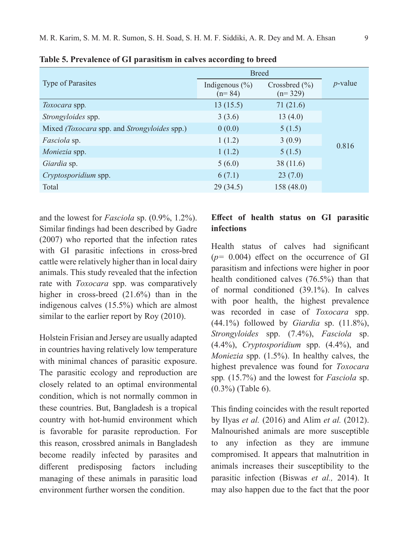|                                                     | <b>Breed</b>                   |                                |            |
|-----------------------------------------------------|--------------------------------|--------------------------------|------------|
| <b>Type of Parasites</b>                            | Indigenous $(\% )$<br>$(n=84)$ | Crossbred $(\% )$<br>$(n=329)$ | $p$ -value |
| <i>Toxocara</i> spp.                                | 13(15.5)                       | 71(21.6)                       |            |
| <i>Strongyloides</i> spp.                           | 3(3.6)                         | 13(4.0)                        |            |
| Mixed <i>(Toxocara spp. and Strongyloides spp.)</i> | 0(0.0)                         | 5(1.5)                         |            |
| <i>Fasciola</i> sp.                                 | 1(1.2)                         | 3(0.9)                         | 0.816      |
| Moniezia spp.                                       | 1(1.2)                         | 5(1.5)                         |            |
| Giardia sp.                                         | 5(6.0)                         | 38(11.6)                       |            |
| Cryptosporidium spp.                                | 6(7.1)                         | 23(7.0)                        |            |
| Total                                               | 29(34.5)                       | 158(48.0)                      |            |

**Table 5. Prevalence of GI parasitism in calves according to breed**

and the lowest for *Fasciola* sp. (0.9%, 1.2%). Similar findings had been described by Gadre (2007) who reported that the infection rates with GI parasitic infections in cross-bred cattle were relatively higher than in local dairy animals. This study revealed that the infection rate with *Toxocara* spp. was comparatively higher in cross-breed (21.6%) than in the indigenous calves (15.5%) which are almost similar to the earlier report by Roy (2010).

Holstein Frisian and Jersey are usually adapted in countries having relatively low temperature with minimal chances of parasitic exposure. The parasitic ecology and reproduction are closely related to an optimal environmental condition, which is not normally common in these countries. But, Bangladesh is a tropical country with hot-humid environment which is favorable for parasite reproduction. For this reason, crossbred animals in Bangladesh become readily infected by parasites and different predisposing factors including managing of these animals in parasitic load environment further worsen the condition.

## **Effect of health status on GI parasitic infections**

Health status of calves had significant (*p=* 0.004) effect on the occurrence of GI parasitism and infections were higher in poor health conditioned calves (76.5%) than that of normal conditioned (39.1%). In calves with poor health, the highest prevalence was recorded in case of *Toxocara* spp. (44.1%) followed by *Giardia* sp. (11.8%), *Strongyloides* spp. (7.4%), *Fasciola* sp. (4.4%), *Cryptosporidium* spp. (4.4%), and *Moniezia* spp. (1.5%). In healthy calves, the highest prevalence was found for *Toxocara*  spp*.* (15.7%) and the lowest for *Fasciola* sp. (0.3%) (Table 6).

This finding coincides with the result reported by Ilyas *et al.* (2016) and Alim *et al.* (2012). Malnourished animals are more susceptible to any infection as they are immune compromised. It appears that malnutrition in animals increases their susceptibility to the parasitic infection (Biswas *et al.,* 2014). It may also happen due to the fact that the poor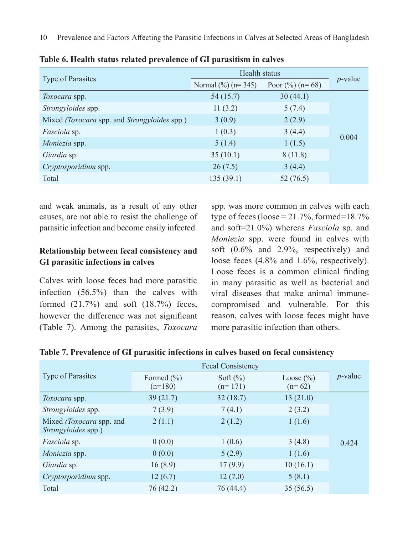|                                                     | Health status                 |                   |            |
|-----------------------------------------------------|-------------------------------|-------------------|------------|
| <b>Type of Parasites</b>                            | Normal $\frac{6}{6}$ (n= 345) | Poor $(\%)(n=68)$ | $p$ -value |
| <i>Toxocara</i> spp.                                | 54(15.7)                      | 30(44.1)          |            |
| Strongyloides spp.                                  | 11(3.2)                       | 5(7.4)            |            |
| Mixed <i>(Toxocara spp. and Strongyloides spp.)</i> | 3(0.9)                        | 2(2.9)            |            |
| <i>Fasciola</i> sp.                                 | 1(0.3)                        | 3(4.4)            | 0.004      |
| <i>Moniezia</i> spp.                                | 5(1.4)                        | 1(1.5)            |            |
| Giardia sp.                                         | 35(10.1)                      | 8(11.8)           |            |
| Cryptosporidium spp.                                | 26(7.5)                       | 3(4.4)            |            |
| Total                                               | 135(39.1)                     | 52(76.5)          |            |

**Table 6. Health status related prevalence of GI parasitism in calves** 

and weak animals, as a result of any other causes, are not able to resist the challenge of parasitic infection and become easily infected.

# **Relationship between fecal consistency and GI parasitic infections in calves**

Calves with loose feces had more parasitic infection (56.5%) than the calves with formed (21.7%) and soft (18.7%) feces, however the difference was not significant (Table 7). Among the parasites, *Toxocara* 

spp. was more common in calves with each type of feces (loose =  $21.7\%$ , formed= $18.7\%$ and soft=21.0%) whereas *Fasciola* sp. and *Moniezia* spp. were found in calves with soft (0.6% and 2.9%, respectively) and loose feces (4.8% and 1.6%, respectively). Loose feces is a common clinical finding in many parasitic as well as bacterial and viral diseases that make animal immunecompromised and vulnerable. For this reason, calves with loose feces might have more parasitic infection than others.

**Table 7. Prevalence of GI parasitic infections in calves based on fecal consistency**

|                                                 | <b>Fecal Consistency</b>    |                           |                           |            |
|-------------------------------------------------|-----------------------------|---------------------------|---------------------------|------------|
| <b>Type of Parasites</b>                        | Formed $(\% )$<br>$(n=180)$ | Soft $(\% )$<br>$(n=171)$ | Loose $(\% )$<br>$(n=62)$ | $p$ -value |
| <i>Toxocara</i> spp.                            | 39(21.7)                    | 32(18.7)                  | 13(21.0)                  |            |
| <i>Strongyloides</i> spp.                       | 7(3.9)                      | 7(4.1)                    | 2(3.2)                    |            |
| Mixed (Toxocara spp. and<br>Strongyloides spp.) | 2(1.1)                      | 2(1.2)                    | 1(1.6)                    |            |
| <i>Fasciola</i> sp.                             | 0(0.0)                      | 1(0.6)                    | 3(4.8)                    | 0.424      |
| <i>Moniezia</i> spp.                            | 0(0.0)                      | 5(2.9)                    | 1(1.6)                    |            |
| Giardia sp.                                     | 16(8.9)                     | 17(9.9)                   | 10(16.1)                  |            |
| Cryptosporidium spp.                            | 12(6.7)                     | 12(7.0)                   | 5(8.1)                    |            |
| Total                                           | 76 (42.2)                   | 76 (44.4)                 | 35(56.5)                  |            |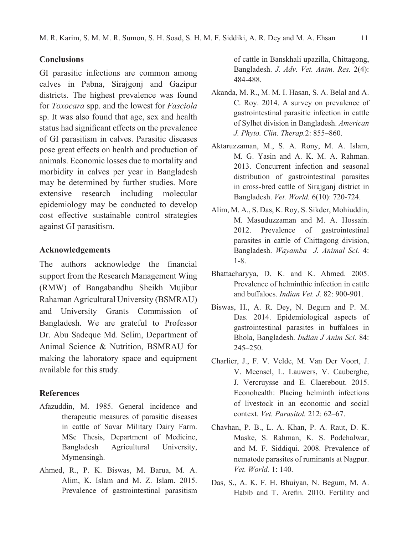#### **Conclusions**

GI parasitic infections are common among calves in Pabna, Sirajgonj and Gazipur districts. The highest prevalence was found for *Toxocara* spp. and the lowest for *Fasciola*  sp. It was also found that age, sex and health status had significant effects on the prevalence of GI parasitism in calves. Parasitic diseases pose great effects on health and production of animals. Economic losses due to mortality and morbidity in calves per year in Bangladesh may be determined by further studies. More extensive research including molecular epidemiology may be conducted to develop cost effective sustainable control strategies against GI parasitism.

#### **Acknowledgements**

The authors acknowledge the financial support from the Research Management Wing (RMW) of Bangabandhu Sheikh Mujibur Rahaman Agricultural University (BSMRAU) and University Grants Commission of Bangladesh. We are grateful to Professor Dr. Abu Sadeque Md. Selim, Department of Animal Science & Nutrition, BSMRAU for making the laboratory space and equipment available for this study.

#### **References**

- Afazuddin, M. 1985. General incidence and therapeutic measures of parasitic diseases in cattle of Savar Military Dairy Farm. MSc Thesis, Department of Medicine, Bangladesh Agricultural University, Mymensingh.
- Ahmed, R., P. K. Biswas, M. Barua, M. A. Alim, K. Islam and M. Z. Islam. 2015. Prevalence of gastrointestinal parasitism

of cattle in Banskhali upazilla, Chittagong, Bangladesh. *J. Adv. Vet. Anim. Res.* 2(4): 484-488.

- Akanda, M. R., M. M. I. Hasan, S. A. Belal and A. C. Roy. 2014. A survey on prevalence of gastrointestinal parasitic infection in cattle of Sylhet division in Bangladesh. *American J. Phyto. Clin. Therap.*2: 855–860.
- Aktaruzzaman, M., S. A. Rony, M. A. Islam, M. G. Yasin and A. K. M. A. Rahman. 2013. Concurrent infection and seasonal distribution of gastrointestinal parasites in cross-bred cattle of Sirajganj district in Bangladesh. *Vet. World.* 6(10): 720-724.
- Alim, M. A., S. Das, K. Roy, S. Sikder, Mohiuddin, M. Masuduzzaman and M. A. Hossain. 2012. Prevalence of gastrointestinal parasites in cattle of Chittagong division, Bangladesh. *Wayamba J. Animal Sci.* 4: 1-8.
- Bhattacharyya, D. K. and K. Ahmed. 2005. Prevalence of helminthic infection in cattle and buffaloes. *Indian Vet. J.* 82: 900-901.
- Biswas, H., A. R. Dey, N. Begum and P. M. Das. 2014. Epidemiological aspects of gastrointestinal parasites in buffaloes in Bhola, Bangladesh. *Indian J Anim Sci.* 84: 245–250.
- Charlier, J., F. V. Velde, M. Van Der Voort, J. V. Meensel, L. Lauwers, V. Cauberghe, J. Vercruysse and E. Claerebout. 2015. Econohealth: Placing helminth infections of livestock in an economic and social context. *Vet. Parasitol.* 212: 62–67.
- Chavhan, P. B., L. A. Khan, P. A. Raut, D. K. Maske, S. Rahman, K. S. Podchalwar, and M. F. Siddiqui. 2008. Prevalence of nematode parasites of ruminants at Nagpur. *Vet. World.* 1: 140.
- Das, S., A. K. F. H. Bhuiyan, N. Begum, M. A. Habib and T. Arefin. 2010. Fertility and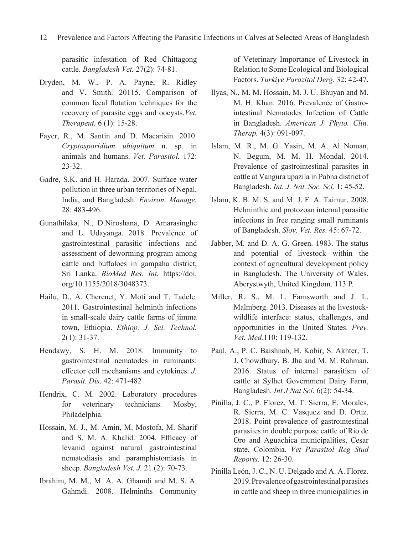parasitic infestation of Red Chittagong cattle. *Bangladesh Vet.* 27(2): 74-81.

- Dryden, M. W., P. A. Payne, R. Ridley and V. Smith. 20115. Comparison of common fecal flotation techniques for the recovery of parasite eggs and oocysts.*Vet. Therapeut.* 6 (1): 15-28.
- Fayer, R., M. Santin and D. Macarisin. 2010. *Cryptosporidium ubiquitum* n. sp. in animals and humans. *Vet. Parasitol.* 172: 23-32.
- Gadre, S.K. and H. Harada. 2007. Surface water pollution in three urban territories of Nepal, India, and Bangladesh. *Environ. Manage.* 28: 483-496.
- Gunathilaka, N., D.Niroshana, D. Amarasinghe and L. Udayanga. 2018. Prevalence of gastrointestinal parasitic infections and assessment of deworming program among cattle and buffaloes in gampaha district, Sri Lanka. *BioMed Res. Int.* https://doi. org/10.1155/2018/3048373.
- Hailu, D., A. Cherenet, Y. Moti and T. Tadele. 2011. Gastrointestinal helminth infections in small-scale dairy cattle farms of jimma town, Ethiopia. *Ethiop. J. Sci. Technol.*  2(1): 31-37.
- Hendawy, S. H. M. 2018. Immunity to gastrointestinal nematodes in ruminants: effector cell mechanisms and cytokines. *J. Parasit. Dis*. 42: 471-482
- Hendrix, C. M. 2002. Laboratory procedures for veterinary technicians. Mosby, Philadelphia.
- Hossain, M. J., M. Amin, M. Mostofa, M. Sharif and S. M. A. Khalid. 2004. Efficacy of levanid against natural gastrointestinal nematodiasis and paramphistomiasis in sheep. *Bangladesh Vet. J.* 21 (2): 70-73.
- Ibrahim, M. M., M. A. A. Ghamdi and M. S. A. Gahmdi. 2008. Helminths Community

of Veterinary Importance of Livestock in Relation to Some Ecological and Biological Factors. *Turkiye Parazitol Derg.* 32: 42-47.

- Ilyas, N., M. M. Hossain, M. J. U. Bhuyan and M. M. H. Khan. 2016. Prevalence of Gastrointestinal Nematodes Infection of Cattle in Bangladesh. *American J. Phyto. Clin. Therap.* 4(3): 091-097.
- Islam, M. R., M. G. Yasin, M. A. Al Noman, N. Begum, M. M. H. Mondal. 2014. Prevalence of gastrointestinal parasites in cattle at Vangura upazila in Pabna district of Bangladesh. *Int. J. Nat. Soc. Sci.* 1: 45-52.
- Islam, K. B. M. S. and M. J. F. A. Taimur. 2008. Helminthic and protozoan internal parasitic infections in free ranging small ruminants of Bangladesh. *Slov. Vet. Res.* 45: 67-72.
- Jabber, M. and D. A. G. Green. 1983. The status and potential of livestock within the context of agricultural development policy in Bangladesh. The University of Wales. Aberystwyth, United Kingdom. 113 P.
- Miller, R. S., M. L. Farnsworth and J. L. Malmberg. 2013. Diseases at the livestockwildlife interface: status, challenges, and opportunities in the United States. *Prev. Vet. Med.*110: 119-132.
- Paul, A., P. C. Baishnab, H. Kobir, S. Akhter, T. J. Chowdhury, B. Jha and M. M. Rahman. 2016. Status of internal parasitism of cattle at Sylhet Government Dairy Farm, Bangladesh. *Int J Nat Sci.* 6(2): 54-34.
- Pinilla, J. C., P. Florez, M. T. Sierra, E. Morales, R. Sierra, M. C. Vasquez and D. Ortiz. 2018. Point prevalence of gastrointestinal parasites in double purpose cattle of Rio de Oro and Aguachica municipalities, Cesar state, Colombia. *Vet Parasitol Reg Stud Reports.* 12: 26-30.
- Pinilla León, J. C., N. U. Delgado and A. A. Florez. 2019. Prevalence of gastrointestinal parasites in cattle and sheep in three municipalities in